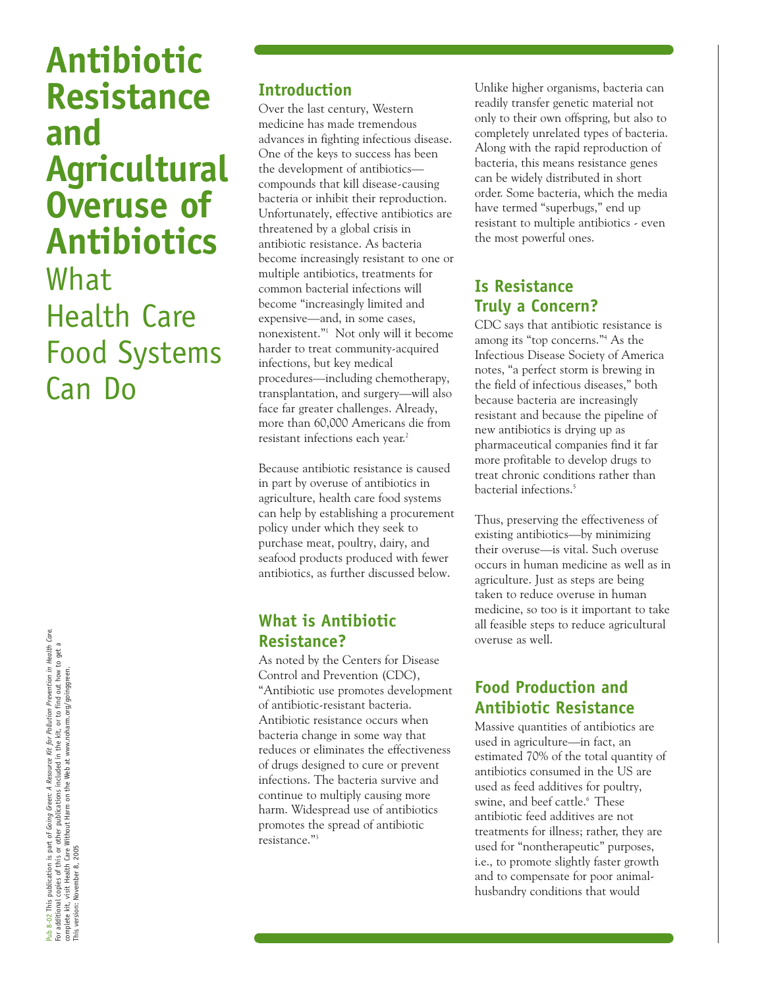**Antibiotic Resistance and Agricultural Overuse of Antibiotics** What Health Care Food Systems Can Do

#### **Introduction**

Over the last century, Western medicine has made tremendous advances in fighting infectious disease. One of the keys to success has been the development of antibiotics compounds that kill disease-causing bacteria or inhibit their reproduction. Unfortunately, effective antibiotics are threatened by a global crisis in antibiotic resistance. As bacteria become increasingly resistant to one or multiple antibiotics, treatments for common bacterial infections will become "increasingly limited and expensive—and, in some cases, nonexistent."1 Not only will it become harder to treat community-acquired infections, but key medical procedures—including chemotherapy, transplantation, and surgery—will also face far greater challenges. Already, more than 60,000 Americans die from resistant infections each year.<sup>2</sup>

Because antibiotic resistance is caused in part by overuse of antibiotics in agriculture, health care food systems can help by establishing a procurement policy under which they seek to purchase meat, poultry, dairy, and seafood products produced with fewer antibiotics, as further discussed below.

#### **What is Antibiotic Resistance?**

As noted by the Centers for Disease Control and Prevention (CDC), "Antibiotic use promotes development of antibiotic-resistant bacteria. Antibiotic resistance occurs when bacteria change in some way that reduces or eliminates the effectiveness of drugs designed to cure or prevent infections. The bacteria survive and continue to multiply causing more harm. Widespread use of antibiotics promotes the spread of antibiotic resistance."3

Unlike higher organisms, bacteria can readily transfer genetic material not only to their own offspring, but also to completely unrelated types of bacteria. Along with the rapid reproduction of bacteria, this means resistance genes can be widely distributed in short order. Some bacteria, which the media have termed "superbugs," end up resistant to multiple antibiotics - even the most powerful ones.

### **Is Resistance Truly a Concern?**

CDC says that antibiotic resistance is among its "top concerns."4 As the Infectious Disease Society of America notes, "a perfect storm is brewing in the field of infectious diseases," both because bacteria are increasingly resistant and because the pipeline of new antibiotics is drying up as pharmaceutical companies find it far more profitable to develop drugs to treat chronic conditions rather than bacterial infections.5

Thus, preserving the effectiveness of existing antibiotics—by minimizing their overuse—is vital. Such overuse occurs in human medicine as well as in agriculture. Just as steps are being taken to reduce overuse in human medicine, so too is it important to take all feasible steps to reduce agricultural overuse as well.

### **Food Production and Antibiotic Resistance**

Massive quantities of antibiotics are used in agriculture—in fact, an estimated 70% of the total quantity of antibiotics consumed in the US are used as feed additives for poultry, swine, and beef cattle.<sup>6</sup> These antibiotic feed additives are not treatments for illness; rather, they are used for "nontherapeutic" purposes, i.e., to promote slightly faster growth and to compensate for poor animalhusbandry conditions that would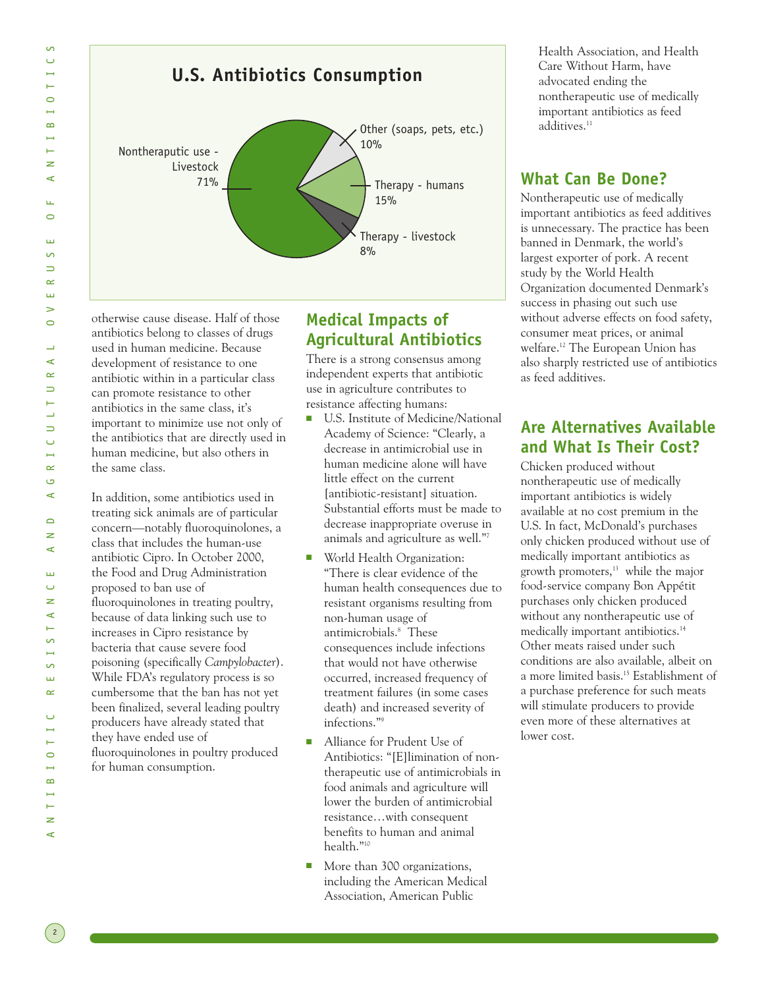

otherwise cause disease. Half of those antibiotics belong to classes of drugs used in human medicine. Because development of resistance to one antibiotic within in a particular class can promote resistance to other antibiotics in the same class, it's important to minimize use not only of the antibiotics that are directly used in human medicine, but also others in the same class.

In addition, some antibiotics used in treating sick animals are of particular concern—notably fluoroquinolones, a class that includes the human-use antibiotic Cipro. In October 2000, the Food and Drug Administration proposed to ban use of fluoroquinolones in treating poultry, because of data linking such use to increases in Cipro resistance by bacteria that cause severe food poisoning (specifically *Campylobacter*). While FDA's regulatory process is so cumbersome that the ban has not yet been finalized, several leading poultry producers have already stated that they have ended use of fluoroquinolones in poultry produced for human consumption.

### **Medical Impacts of Agricultural Antibiotics**

There is a strong consensus among independent experts that antibiotic use in agriculture contributes to resistance affecting humans:

- U.S. Institute of Medicine/National Academy of Science: "Clearly, a decrease in antimicrobial use in human medicine alone will have little effect on the current [antibiotic-resistant] situation. Substantial efforts must be made to decrease inappropriate overuse in animals and agriculture as well."7
- World Health Organization: "There is clear evidence of the human health consequences due to resistant organisms resulting from non-human usage of antimicrobials.8 These consequences include infections that would not have otherwise occurred, increased frequency of treatment failures (in some cases death) and increased severity of infections."9
- Alliance for Prudent Use of Antibiotics: "[E]limination of nontherapeutic use of antimicrobials in food animals and agriculture will lower the burden of antimicrobial resistance…with consequent benefits to human and animal health."10
- More than 300 organizations, including the American Medical Association, American Public

Health Association, and Health Care Without Harm, have advocated ending the nontherapeutic use of medically important antibiotics as feed additives.<sup>11</sup>

#### **What Can Be Done?**

Nontherapeutic use of medically important antibiotics as feed additives is unnecessary. The practice has been banned in Denmark, the world's largest exporter of pork. A recent study by the World Health Organization documented Denmark's success in phasing out such use without adverse effects on food safety, consumer meat prices, or animal welfare.12 The European Union has also sharply restricted use of antibiotics as feed additives.

## **Are Alternatives Available and What Is Their Cost?**

Chicken produced without nontherapeutic use of medically important antibiotics is widely available at no cost premium in the U.S. In fact, McDonald's purchases only chicken produced without use of medically important antibiotics as growth promoters, $13$  while the major food-service company Bon Appétit purchases only chicken produced without any nontherapeutic use of medically important antibiotics.14 Other meats raised under such conditions are also available, albeit on a more limited basis.15 Establishment of a purchase preference for such meats will stimulate producers to provide even more of these alternatives at lower cost.

 $\frac{2}{2}$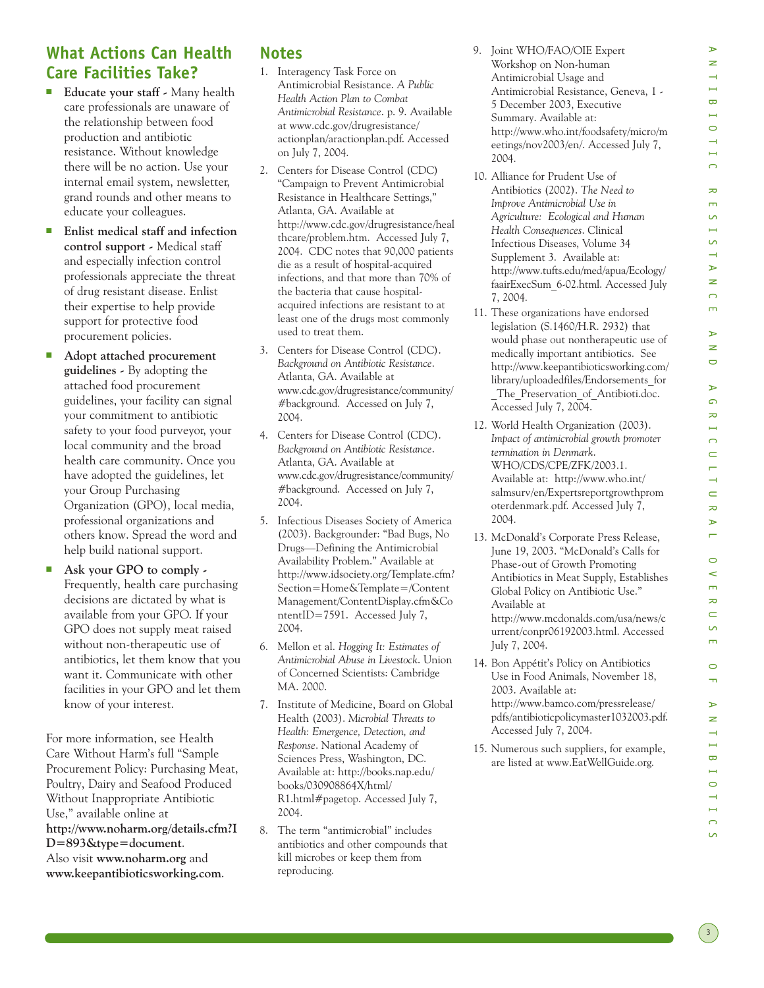## **What Actions Can Health Care Facilities Take?**

- **Educate your staff** Many health care professionals are unaware of the relationship between food production and antibiotic resistance. Without knowledge there will be no action. Use your internal email system, newsletter, grand rounds and other means to educate your colleagues.
- **Enlist medical staff and infection control support -** Medical staff and especially infection control professionals appreciate the threat of drug resistant disease. Enlist their expertise to help provide support for protective food procurement policies.
- Adopt attached procurement **guidelines -** By adopting the attached food procurement guidelines, your facility can signal your commitment to antibiotic safety to your food purveyor, your local community and the broad health care community. Once you have adopted the guidelines, let your Group Purchasing Organization (GPO), local media, professional organizations and others know. Spread the word and help build national support.
- **Ask your GPO to comply**  $\cdot$ Frequently, health care purchasing decisions are dictated by what is available from your GPO. If your GPO does not supply meat raised without non-therapeutic use of antibiotics, let them know that you want it. Communicate with other facilities in your GPO and let them know of your interest.

For more information, see Health Care Without Harm's full "Sample Procurement Policy: Purchasing Meat, Poultry, Dairy and Seafood Produced Without Inappropriate Antibiotic Use," available online at **http://www.noharm.org/details.cfm?I D=893&type=document**. Also visit **www.noharm.org** and **www.keepantibioticsworking.com**.

#### **Notes**

- 1. Interagency Task Force on Antimicrobial Resistance. *A Public Health Action Plan to Combat Antimicrobial Resistance*. p. 9. Available at www.cdc.gov/drugresistance/ actionplan/aractionplan.pdf. Accessed on July 7, 2004.
- 2. Centers for Disease Control (CDC) "Campaign to Prevent Antimicrobial Resistance in Healthcare Settings," Atlanta, GA. Available at http://www.cdc.gov/drugresistance/heal thcare/problem.htm. Accessed July 7, 2004. CDC notes that 90,000 patients die as a result of hospital-acquired infections, and that more than 70% of the bacteria that cause hospitalacquired infections are resistant to at least one of the drugs most commonly used to treat them.
- 3. Centers for Disease Control (CDC). *Background on Antibiotic Resistance*. Atlanta, GA. Available at www.cdc.gov/drugresistance/community/ #background. Accessed on July 7, 2004.
- 4. Centers for Disease Control (CDC). *Background on Antibiotic Resistance*. Atlanta, GA. Available at www.cdc.gov/drugresistance/community/ #background. Accessed on July 7, 2004.
- 5. Infectious Diseases Society of America (2003). Backgrounder: "Bad Bugs, No Drugs—Defining the Antimicrobial Availability Problem." Available at http://www.idsociety.org/Template.cfm? Section=Home&Template=/Content Management/ContentDisplay.cfm&Co ntentID=7591. Accessed July 7, 2004.
- 6. Mellon et al. *Hogging It: Estimates of Antimicrobial Abuse in Livestock*. Union of Concerned Scientists: Cambridge MA. 2000.
- 7. Institute of Medicine, Board on Global Health (2003). *Microbial Threats to Health: Emergence, Detection, and Response*. National Academy of Sciences Press, Washington, DC. Available at: http://books.nap.edu/ books/030908864X/html/ R1.html#pagetop. Accessed July 7, 2004.
- 8. The term "antimicrobial" includes antibiotics and other compounds that kill microbes or keep them from reproducing.
- 9. Joint WHO/FAO/OIE Expert Workshop on Non-human Antimicrobial Usage and Antimicrobial Resistance, Geneva, 1 - 5 December 2003, Executive Summary. Available at: http://www.who.int/foodsafety/micro/m eetings/nov2003/en/. Accessed July 7, 2004.
- 10. Alliance for Prudent Use of Antibiotics (2002). *The Need to Improve Antimicrobial Use in Agriculture: Ecological and Human Health Consequences*. Clinical Infectious Diseases, Volume 34 Supplement 3. Available at: http://www.tufts.edu/med/apua/Ecology/ faairExecSum\_6-02.html. Accessed July 7, 2004.
- 11. These organizations have endorsed legislation (S.1460/H.R. 2932) that would phase out nontherapeutic use of medically important antibiotics. See http://www.keepantibioticsworking.com/ library/uploadedfiles/Endorsements\_for \_The\_Preservation\_of\_Antibioti.doc. Accessed July 7, 2004.
- 12. World Health Organization (2003). *Impact of antimicrobial growth promoter termination in Denmark*. WHO/CDS/CPE/ZFK/2003.1. Available at: http://www.who.int/ salmsurv/en/Expertsreportgrowthprom oterdenmark.pdf. Accessed July 7, 2004.
- 13. McDonald's Corporate Press Release, June 19, 2003. "McDonald's Calls for Phase-out of Growth Promoting Antibiotics in Meat Supply, Establishes Global Policy on Antibiotic Use." Available at http://www.mcdonalds.com/usa/news/c urrent/conpr06192003.html. Accessed July 7, 2004.
- 14. Bon Appétit's Policy on Antibiotics Use in Food Animals, November 18, 2003. Available at: http://www.bamco.com/pressrelease/ pdfs/antibioticpolicymaster1032003.pdf. Accessed July 7, 2004.
- 15. Numerous such suppliers, for example, are listed at www.EatWellGuide.org.